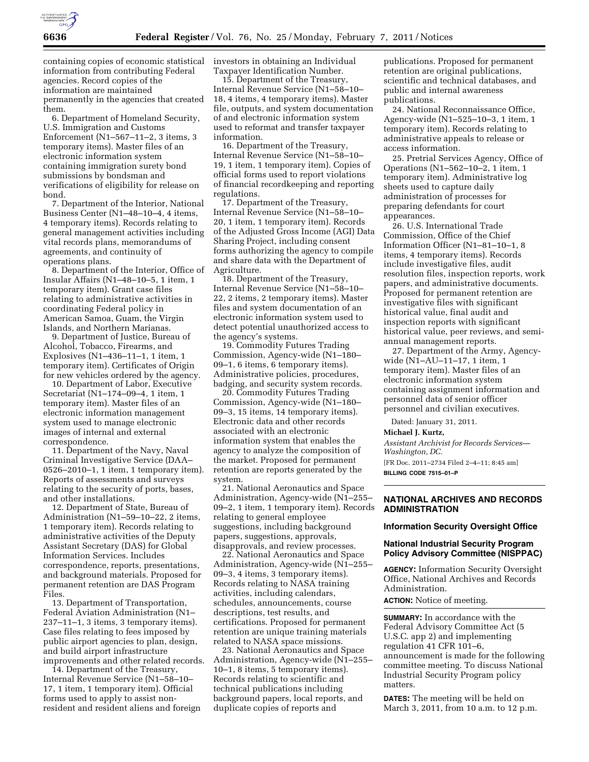

containing copies of economic statistical information from contributing Federal agencies. Record copies of the information are maintained permanently in the agencies that created them.

6. Department of Homeland Security, U.S. Immigration and Customs Enforcement (N1–567–11–2, 3 items, 3 temporary items). Master files of an electronic information system containing immigration surety bond submissions by bondsman and verifications of eligibility for release on bond.

7. Department of the Interior, National Business Center (N1–48–10–4, 4 items, 4 temporary items). Records relating to general management activities including vital records plans, memorandums of agreements, and continuity of operations plans.

8. Department of the Interior, Office of Insular Affairs (N1–48–10–5, 1 item, 1 temporary item). Grant case files relating to administrative activities in coordinating Federal policy in American Samoa, Guam, the Virgin Islands, and Northern Marianas.

9. Department of Justice, Bureau of Alcohol, Tobacco, Firearms, and Explosives (N1–436–11–1, 1 item, 1 temporary item). Certificates of Origin for new vehicles ordered by the agency.

10. Department of Labor, Executive Secretariat (N1–174–09–4, 1 item, 1 temporary item). Master files of an electronic information management system used to manage electronic images of internal and external correspondence.

11. Department of the Navy, Naval Criminal Investigative Service (DAA– 0526–2010–1, 1 item, 1 temporary item). Reports of assessments and surveys relating to the security of ports, bases, and other installations.

12. Department of State, Bureau of Administration (N1–59–10–22, 2 items, 1 temporary item). Records relating to administrative activities of the Deputy Assistant Secretary (DAS) for Global Information Services. Includes correspondence, reports, presentations, and background materials. Proposed for permanent retention are DAS Program Files.

13. Department of Transportation, Federal Aviation Administration (N1– 237–11–1, 3 items, 3 temporary items). Case files relating to fees imposed by public airport agencies to plan, design, and build airport infrastructure improvements and other related records.

14. Department of the Treasury, Internal Revenue Service (N1–58–10– 17, 1 item, 1 temporary item). Official forms used to apply to assist nonresident and resident aliens and foreign investors in obtaining an Individual Taxpayer Identification Number.

15. Department of the Treasury, Internal Revenue Service (N1–58–10– 18, 4 items, 4 temporary items). Master file, outputs, and system documentation of and electronic information system used to reformat and transfer taxpayer information.

16. Department of the Treasury, Internal Revenue Service (N1–58–10– 19, 1 item, 1 temporary item). Copies of official forms used to report violations of financial recordkeeping and reporting regulations.

17. Department of the Treasury, Internal Revenue Service (N1–58–10– 20, 1 item, 1 temporary item). Records of the Adjusted Gross Income (AGI) Data Sharing Project, including consent forms authorizing the agency to compile and share data with the Department of Agriculture.

18. Department of the Treasury, Internal Revenue Service (N1–58–10– 22, 2 items, 2 temporary items). Master files and system documentation of an electronic information system used to detect potential unauthorized access to the agency's systems.

19. Commodity Futures Trading Commission, Agency-wide (N1–180– 09–1, 6 items, 6 temporary items). Administrative policies, procedures, badging, and security system records.

20. Commodity Futures Trading Commission, Agency-wide (N1–180– 09–3, 15 items, 14 temporary items). Electronic data and other records associated with an electronic information system that enables the agency to analyze the composition of the market. Proposed for permanent retention are reports generated by the system.

21. National Aeronautics and Space Administration, Agency-wide (N1–255– 09–2, 1 item, 1 temporary item). Records relating to general employee suggestions, including background papers, suggestions, approvals, disapprovals, and review processes.

22. National Aeronautics and Space Administration, Agency-wide (N1–255– 09–3, 4 items, 3 temporary items). Records relating to NASA training activities, including calendars, schedules, announcements, course descriptions, test results, and certifications. Proposed for permanent retention are unique training materials related to NASA space missions.

23. National Aeronautics and Space Administration, Agency-wide (N1–255– 10–1, 8 items, 5 temporary items). Records relating to scientific and technical publications including background papers, local reports, and duplicate copies of reports and

publications. Proposed for permanent retention are original publications, scientific and technical databases, and public and internal awareness publications.

24. National Reconnaissance Office, Agency-wide (N1–525–10–3, 1 item, 1 temporary item). Records relating to administrative appeals to release or access information.

25. Pretrial Services Agency, Office of Operations (N1–562–10–2, 1 item, 1 temporary item). Administrative log sheets used to capture daily administration of processes for preparing defendants for court appearances.

26. U.S. International Trade Commission, Office of the Chief Information Officer (N1–81–10–1, 8 items, 4 temporary items). Records include investigative files, audit resolution files, inspection reports, work papers, and administrative documents. Proposed for permanent retention are investigative files with significant historical value, final audit and inspection reports with significant historical value, peer reviews, and semiannual management reports.

27. Department of the Army, Agencywide (N1–AU–11–17, 1 item, 1 temporary item). Master files of an electronic information system containing assignment information and personnel data of senior officer personnel and civilian executives.

Dated: January 31, 2011.

#### **Michael J. Kurtz,**

*Assistant Archivist for Records Services— Washington, DC.*  [FR Doc. 2011–2734 Filed 2–4–11; 8:45 am]

**BILLING CODE 7515–01–P** 

#### **NATIONAL ARCHIVES AND RECORDS ADMINISTRATION**

#### **Information Security Oversight Office**

## **National Industrial Security Program Policy Advisory Committee (NISPPAC)**

**AGENCY:** Information Security Oversight Office, National Archives and Records Administration.

**ACTION:** Notice of meeting.

**SUMMARY:** In accordance with the Federal Advisory Committee Act (5 U.S.C. app 2) and implementing regulation 41 CFR 101–6, announcement is made for the following committee meeting. To discuss National Industrial Security Program policy matters.

**DATES:** The meeting will be held on March 3, 2011, from 10 a.m. to 12 p.m.